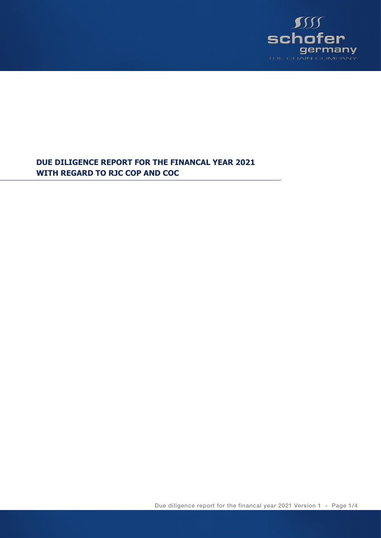

**DUE DILIGENCE REPORT FOR THE FINANCAL YEAR 2021 WITH REGARD TO RJC COP AND COC**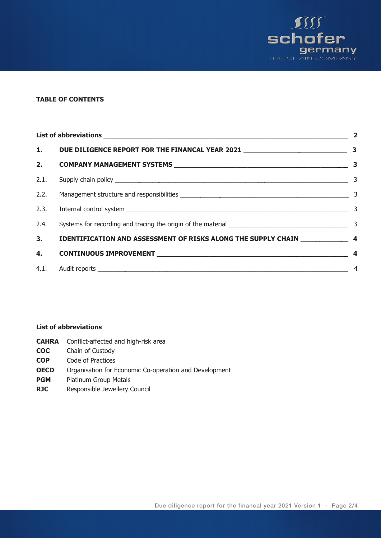

# **TABLE OF CONTENTS**

|                                                                                    | $\overline{\mathbf{2}}$ |
|------------------------------------------------------------------------------------|-------------------------|
|                                                                                    |                         |
|                                                                                    |                         |
|                                                                                    |                         |
|                                                                                    |                         |
|                                                                                    |                         |
|                                                                                    |                         |
| 3. IDENTIFICATION AND ASSESSMENT OF RISKS ALONG THE SUPPLY CHAIN _______________ 4 |                         |
|                                                                                    |                         |
|                                                                                    | $\overline{4}$          |

#### **List of abbreviations**

| <b>CAHRA</b> | Conflict-affected and high-risk area |  |  |
|--------------|--------------------------------------|--|--|
|--------------|--------------------------------------|--|--|

- **COC** Chain of Custody
- **COP** Code of Practices
- **OECD** Organisation for Economic Co-operation and Development
- **PGM** Platinum Group Metals
- **RJC** Responsible Jewellery Council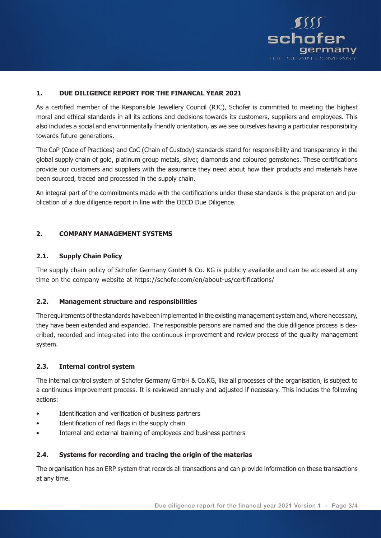

### **1. DUE DILIGENCE REPORT FOR THE FINANCAL YEAR 2021**

As a certified member of the Responsible Jewellery Council (RJC), Schofer is committed to meeting the highest moral and ethical standards in all its actions and decisions towards its customers, suppliers and employees. This also includes a social and environmentally friendly orientation, as we see ourselves having a particular responsibility towards future generations.

The CoP (Code of Practices) and CoC (Chain of Custody) standards stand for responsibility and transparency in the global supply chain of gold, platinum group metals, silver, diamonds and coloured gemstones. These certifications provide our customers and suppliers with the assurance they need about how their products and materials have been sourced, traced and processed in the supply chain.

An integral part of the commitments made with the certifications under these standards is the preparation and publication of a due diligence report in line with the OECD Due Diligence.

## **2. COMPANY MANAGEMENT SYSTEMS**

### **2.1. Supply Chain Policy**

The supply chain policy of Schofer Germany GmbH & Co. KG is publicly available and can be accessed at any time on the company website at https://schofer.com/en/about-us/certifications/

### **2.2. Management structure and responsibilities**

The requirements of the standards have been implemented in the existing management system and, where necessary, they have been extended and expanded. The responsible persons are named and the due diligence process is described, recorded and integrated into the continuous improvement and review process of the quality management system.

### **2.3. Internal control system**

The internal control system of Schofer Germany GmbH & Co.KG, like all processes of the organisation, is subject to a continuous improvement process. It is reviewed annually and adjusted if necessary. This includes the following actions:

- •Identification and verification of business partners
- •Identification of red flags in the supply chain
- •Internal and external training of employees and business partners

### **2.4. Systems for recording and tracing the origin of the materias**

The organisation has an ERP system that records all transactions and can provide information on these transactions at any time.